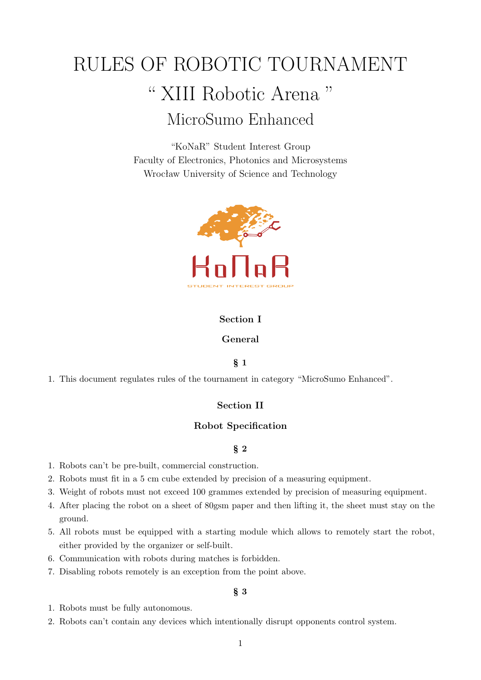# RULES OF ROBOTIC TOURNAMENT " XIII Robotic Arena " MicroSumo Enhanced

"KoNaR" Student Interest Group Faculty of Electronics, Photonics and Microsystems Wrocław University of Science and Technology



# **Section I**

# **General**

# § **1**

1. This document regulates rules of the tournament in category "MicroSumo Enhanced".

# **Section II**

## **Robot Specification**

# § **2**

- 1. Robots can't be pre-built, commercial construction.
- 2. Robots must fit in a 5 cm cube extended by precision of a measuring equipment.
- 3. Weight of robots must not exceed 100 grammes extended by precision of measuring equipment.
- 4. After placing the robot on a sheet of 80gsm paper and then lifting it, the sheet must stay on the ground.
- 5. All robots must be equipped with a starting module which allows to remotely start the robot, either provided by the organizer or self-built.
- 6. Communication with robots during matches is forbidden.
- 7. Disabling robots remotely is an exception from the point above.

- 1. Robots must be fully autonomous.
- 2. Robots can't contain any devices which intentionally disrupt opponents control system.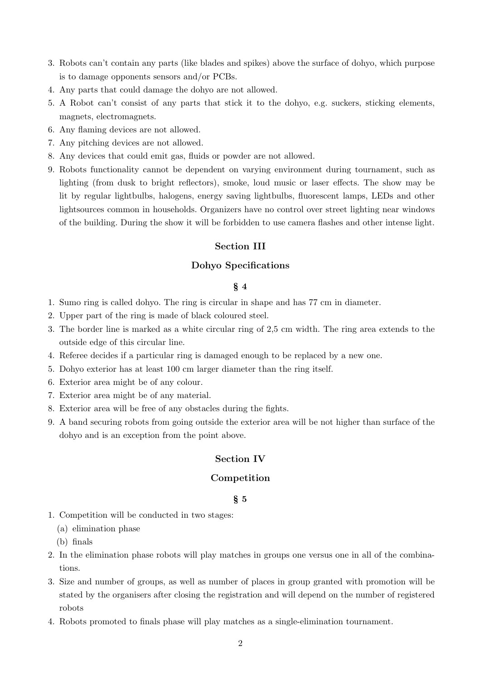- 3. Robots can't contain any parts (like blades and spikes) above the surface of dohyo, which purpose is to damage opponents sensors and/or PCBs.
- 4. Any parts that could damage the dohyo are not allowed.
- 5. A Robot can't consist of any parts that stick it to the dohyo, e.g. suckers, sticking elements, magnets, electromagnets.
- 6. Any flaming devices are not allowed.
- 7. Any pitching devices are not allowed.
- 8. Any devices that could emit gas, fluids or powder are not allowed.
- 9. Robots functionality cannot be dependent on varying environment during tournament, such as lighting (from dusk to bright reflectors), smoke, loud music or laser effects. The show may be lit by regular lightbulbs, halogens, energy saving lightbulbs, fluorescent lamps, LEDs and other lightsources common in households. Organizers have no control over street lighting near windows of the building. During the show it will be forbidden to use camera flashes and other intense light.

# **Section III**

## **Dohyo Specifications**

## § **4**

- 1. Sumo ring is called dohyo. The ring is circular in shape and has 77 cm in diameter.
- 2. Upper part of the ring is made of black coloured steel.
- 3. The border line is marked as a white circular ring of 2,5 cm width. The ring area extends to the outside edge of this circular line.
- 4. Referee decides if a particular ring is damaged enough to be replaced by a new one.
- 5. Dohyo exterior has at least 100 cm larger diameter than the ring itself.
- 6. Exterior area might be of any colour.
- 7. Exterior area might be of any material.
- 8. Exterior area will be free of any obstacles during the fights.
- 9. A band securing robots from going outside the exterior area will be not higher than surface of the dohyo and is an exception from the point above.

# **Section IV**

#### **Competition**

- 1. Competition will be conducted in two stages:
	- (a) elimination phase
	- (b) finals
- 2. In the elimination phase robots will play matches in groups one versus one in all of the combinations.
- 3. Size and number of groups, as well as number of places in group granted with promotion will be stated by the organisers after closing the registration and will depend on the number of registered robots
- 4. Robots promoted to finals phase will play matches as a single-elimination tournament.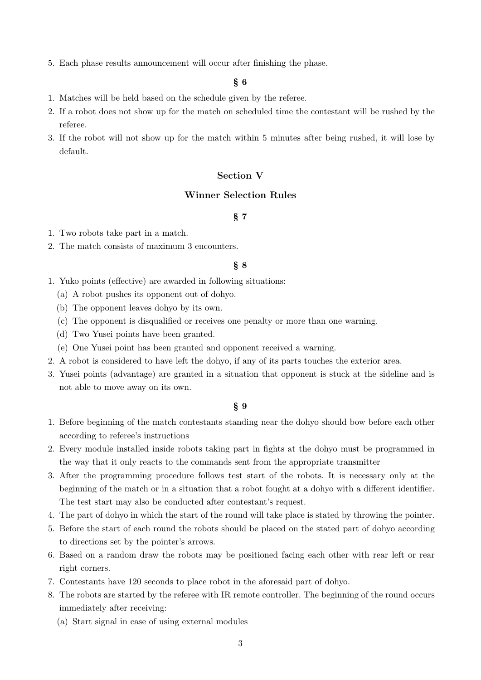5. Each phase results announcement will occur after finishing the phase.

#### § **6**

- 1. Matches will be held based on the schedule given by the referee.
- 2. If a robot does not show up for the match on scheduled time the contestant will be rushed by the referee.
- 3. If the robot will not show up for the match within 5 minutes after being rushed, it will lose by default.

# **Section V**

# **Winner Selection Rules**

# § **7**

- 1. Two robots take part in a match.
- 2. The match consists of maximum 3 encounters.

## § **8**

- 1. Yuko points (effective) are awarded in following situations:
	- (a) A robot pushes its opponent out of dohyo.
	- (b) The opponent leaves dohyo by its own.
	- (c) The opponent is disqualified or receives one penalty or more than one warning.
	- (d) Two Yusei points have been granted.
	- (e) One Yusei point has been granted and opponent received a warning.
- 2. A robot is considered to have left the dohyo, if any of its parts touches the exterior area.
- 3. Yusei points (advantage) are granted in a situation that opponent is stuck at the sideline and is not able to move away on its own.

- 1. Before beginning of the match contestants standing near the dohyo should bow before each other according to referee's instructions
- 2. Every module installed inside robots taking part in fights at the dohyo must be programmed in the way that it only reacts to the commands sent from the appropriate transmitter
- 3. After the programming procedure follows test start of the robots. It is necessary only at the beginning of the match or in a situation that a robot fought at a dohyo with a different identifier. The test start may also be conducted after contestant's request.
- 4. The part of dohyo in which the start of the round will take place is stated by throwing the pointer.
- 5. Before the start of each round the robots should be placed on the stated part of dohyo according to directions set by the pointer's arrows.
- 6. Based on a random draw the robots may be positioned facing each other with rear left or rear right corners.
- 7. Contestants have 120 seconds to place robot in the aforesaid part of dohyo.
- 8. The robots are started by the referee with IR remote controller. The beginning of the round occurs immediately after receiving:
	- (a) Start signal in case of using external modules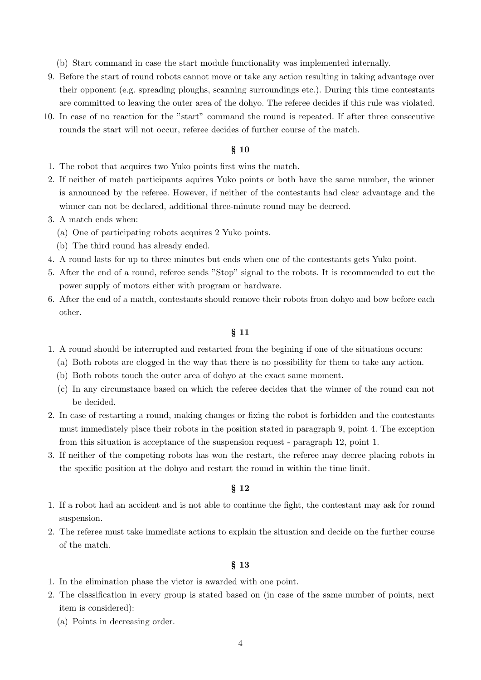(b) Start command in case the start module functionality was implemented internally.

- 9. Before the start of round robots cannot move or take any action resulting in taking advantage over their opponent (e.g. spreading ploughs, scanning surroundings etc.). During this time contestants are committed to leaving the outer area of the dohyo. The referee decides if this rule was violated.
- 10. In case of no reaction for the "start" command the round is repeated. If after three consecutive rounds the start will not occur, referee decides of further course of the match.

# § **10**

- 1. The robot that acquires two Yuko points first wins the match.
- 2. If neither of match participants aquires Yuko points or both have the same number, the winner is announced by the referee. However, if neither of the contestants had clear advantage and the winner can not be declared, additional three-minute round may be decreed.
- 3. A match ends when:
	- (a) One of participating robots acquires 2 Yuko points.
	- (b) The third round has already ended.
- 4. A round lasts for up to three minutes but ends when one of the contestants gets Yuko point.
- 5. After the end of a round, referee sends "Stop" signal to the robots. It is recommended to cut the power supply of motors either with program or hardware.
- 6. After the end of a match, contestants should remove their robots from dohyo and bow before each other.

#### § **11**

- 1. A round should be interrupted and restarted from the begining if one of the situations occurs:
	- (a) Both robots are clogged in the way that there is no possibility for them to take any action.
	- (b) Both robots touch the outer area of dohyo at the exact same moment.
	- (c) In any circumstance based on which the referee decides that the winner of the round can not be decided.
- 2. In case of restarting a round, making changes or fixing the robot is forbidden and the contestants must immediately place their robots in the position stated in paragraph 9, point 4. The exception from this situation is acceptance of the suspension request - paragraph 12, point 1.
- 3. If neither of the competing robots has won the restart, the referee may decree placing robots in the specific position at the dohyo and restart the round in within the time limit.

## § **12**

- 1. If a robot had an accident and is not able to continue the fight, the contestant may ask for round suspension.
- 2. The referee must take immediate actions to explain the situation and decide on the further course of the match.

- 1. In the elimination phase the victor is awarded with one point.
- 2. The classification in every group is stated based on (in case of the same number of points, next item is considered):
	- (a) Points in decreasing order.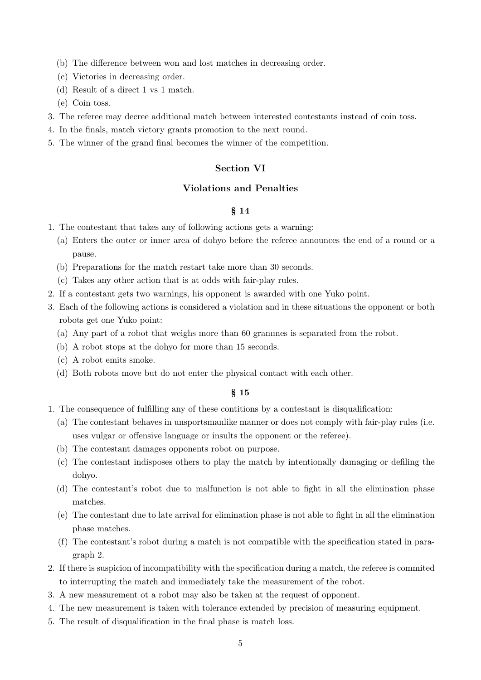- (b) The difference between won and lost matches in decreasing order.
- (c) Victories in decreasing order.
- (d) Result of a direct 1 vs 1 match.
- (e) Coin toss.
- 3. The referee may decree additional match between interested contestants instead of coin toss.
- 4. In the finals, match victory grants promotion to the next round.
- 5. The winner of the grand final becomes the winner of the competition.

## **Section VI**

#### **Violations and Penalties**

# § **14**

- 1. The contestant that takes any of following actions gets a warning:
	- (a) Enters the outer or inner area of dohyo before the referee announces the end of a round or a pause.
	- (b) Preparations for the match restart take more than 30 seconds.
	- (c) Takes any other action that is at odds with fair-play rules.
- 2. If a contestant gets two warnings, his opponent is awarded with one Yuko point.
- 3. Each of the following actions is considered a violation and in these situations the opponent or both robots get one Yuko point:
	- (a) Any part of a robot that weighs more than 60 grammes is separated from the robot.
	- (b) A robot stops at the dohyo for more than 15 seconds.
	- (c) A robot emits smoke.
	- (d) Both robots move but do not enter the physical contact with each other.

- 1. The consequence of fulfilling any of these contitions by a contestant is disqualification:
	- (a) The contestant behaves in unsportsmanlike manner or does not comply with fair-play rules (i.e. uses vulgar or offensive language or insults the opponent or the referee).
	- (b) The contestant damages opponents robot on purpose.
	- (c) The contestant indisposes others to play the match by intentionally damaging or defiling the dohyo.
	- (d) The contestant's robot due to malfunction is not able to fight in all the elimination phase matches.
	- (e) The contestant due to late arrival for elimination phase is not able to fight in all the elimination phase matches.
	- (f) The contestant's robot during a match is not compatible with the specification stated in paragraph 2.
- 2. If there is suspicion of incompatibility with the specification during a match, the referee is commited to interrupting the match and immediately take the measurement of the robot.
- 3. A new measurement ot a robot may also be taken at the request of opponent.
- 4. The new measurement is taken with tolerance extended by precision of measuring equipment.
- 5. The result of disqualification in the final phase is match loss.